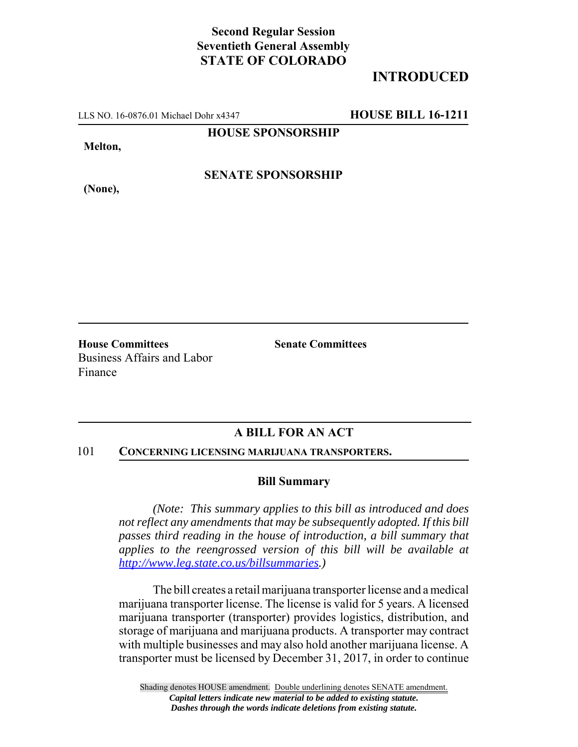## **Second Regular Session Seventieth General Assembly STATE OF COLORADO**

# **INTRODUCED**

LLS NO. 16-0876.01 Michael Dohr x4347 **HOUSE BILL 16-1211**

**HOUSE SPONSORSHIP**

**Melton,**

**(None),**

**SENATE SPONSORSHIP**

**House Committees Senate Committees** Business Affairs and Labor Finance

### **A BILL FOR AN ACT**

### 101 **CONCERNING LICENSING MARIJUANA TRANSPORTERS.**

### **Bill Summary**

*(Note: This summary applies to this bill as introduced and does not reflect any amendments that may be subsequently adopted. If this bill passes third reading in the house of introduction, a bill summary that applies to the reengrossed version of this bill will be available at http://www.leg.state.co.us/billsummaries.)*

The bill creates a retail marijuana transporter license and a medical marijuana transporter license. The license is valid for 5 years. A licensed marijuana transporter (transporter) provides logistics, distribution, and storage of marijuana and marijuana products. A transporter may contract with multiple businesses and may also hold another marijuana license. A transporter must be licensed by December 31, 2017, in order to continue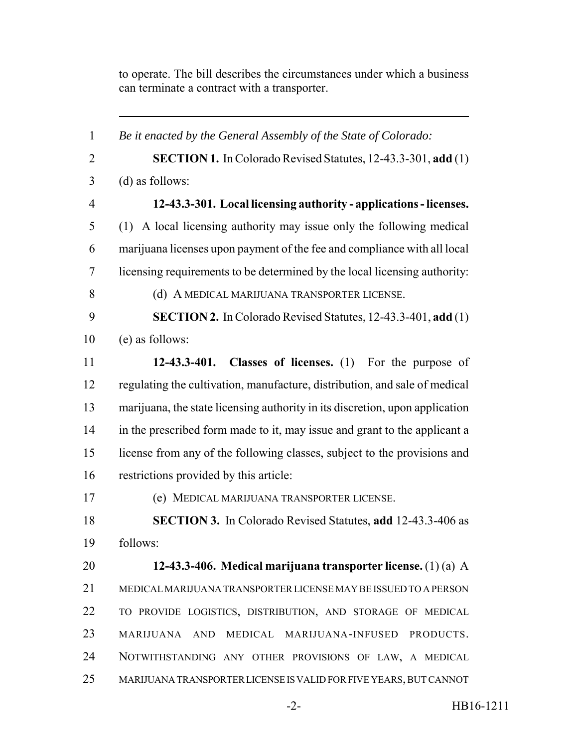to operate. The bill describes the circumstances under which a business can terminate a contract with a transporter.

 *Be it enacted by the General Assembly of the State of Colorado:* **SECTION 1.** In Colorado Revised Statutes, 12-43.3-301, **add** (1) (d) as follows: **12-43.3-301. Local licensing authority - applications - licenses.** (1) A local licensing authority may issue only the following medical marijuana licenses upon payment of the fee and compliance with all local licensing requirements to be determined by the local licensing authority: **(d) A MEDICAL MARIJUANA TRANSPORTER LICENSE. SECTION 2.** In Colorado Revised Statutes, 12-43.3-401, **add** (1) (e) as follows: **12-43.3-401. Classes of licenses.** (1) For the purpose of regulating the cultivation, manufacture, distribution, and sale of medical marijuana, the state licensing authority in its discretion, upon application in the prescribed form made to it, may issue and grant to the applicant a license from any of the following classes, subject to the provisions and restrictions provided by this article: (e) MEDICAL MARIJUANA TRANSPORTER LICENSE. **SECTION 3.** In Colorado Revised Statutes, **add** 12-43.3-406 as follows: **12-43.3-406. Medical marijuana transporter license.** (1) (a) A MEDICAL MARIJUANA TRANSPORTER LICENSE MAY BE ISSUED TO A PERSON TO PROVIDE LOGISTICS, DISTRIBUTION, AND STORAGE OF MEDICAL MARIJUANA AND MEDICAL MARIJUANA-INFUSED PRODUCTS. NOTWITHSTANDING ANY OTHER PROVISIONS OF LAW, A MEDICAL MARIJUANA TRANSPORTER LICENSE IS VALID FOR FIVE YEARS, BUT CANNOT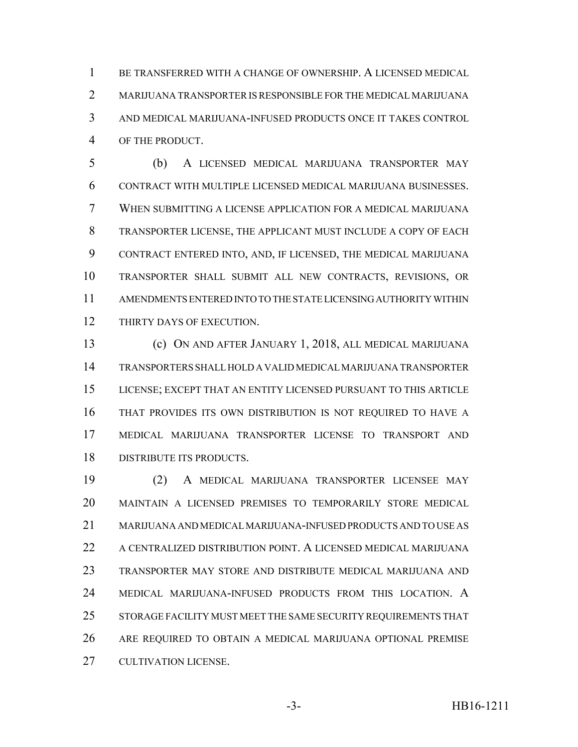BE TRANSFERRED WITH A CHANGE OF OWNERSHIP. A LICENSED MEDICAL MARIJUANA TRANSPORTER IS RESPONSIBLE FOR THE MEDICAL MARIJUANA AND MEDICAL MARIJUANA-INFUSED PRODUCTS ONCE IT TAKES CONTROL OF THE PRODUCT.

 (b) A LICENSED MEDICAL MARIJUANA TRANSPORTER MAY CONTRACT WITH MULTIPLE LICENSED MEDICAL MARIJUANA BUSINESSES. WHEN SUBMITTING A LICENSE APPLICATION FOR A MEDICAL MARIJUANA TRANSPORTER LICENSE, THE APPLICANT MUST INCLUDE A COPY OF EACH CONTRACT ENTERED INTO, AND, IF LICENSED, THE MEDICAL MARIJUANA TRANSPORTER SHALL SUBMIT ALL NEW CONTRACTS, REVISIONS, OR AMENDMENTS ENTERED INTO TO THE STATE LICENSING AUTHORITY WITHIN THIRTY DAYS OF EXECUTION.

 (c) ON AND AFTER JANUARY 1, 2018, ALL MEDICAL MARIJUANA TRANSPORTERS SHALL HOLD A VALID MEDICAL MARIJUANA TRANSPORTER LICENSE; EXCEPT THAT AN ENTITY LICENSED PURSUANT TO THIS ARTICLE THAT PROVIDES ITS OWN DISTRIBUTION IS NOT REQUIRED TO HAVE A MEDICAL MARIJUANA TRANSPORTER LICENSE TO TRANSPORT AND DISTRIBUTE ITS PRODUCTS.

 (2) A MEDICAL MARIJUANA TRANSPORTER LICENSEE MAY MAINTAIN A LICENSED PREMISES TO TEMPORARILY STORE MEDICAL MARIJUANA AND MEDICAL MARIJUANA-INFUSED PRODUCTS AND TO USE AS A CENTRALIZED DISTRIBUTION POINT. A LICENSED MEDICAL MARIJUANA TRANSPORTER MAY STORE AND DISTRIBUTE MEDICAL MARIJUANA AND MEDICAL MARIJUANA-INFUSED PRODUCTS FROM THIS LOCATION. A STORAGE FACILITY MUST MEET THE SAME SECURITY REQUIREMENTS THAT ARE REQUIRED TO OBTAIN A MEDICAL MARIJUANA OPTIONAL PREMISE CULTIVATION LICENSE.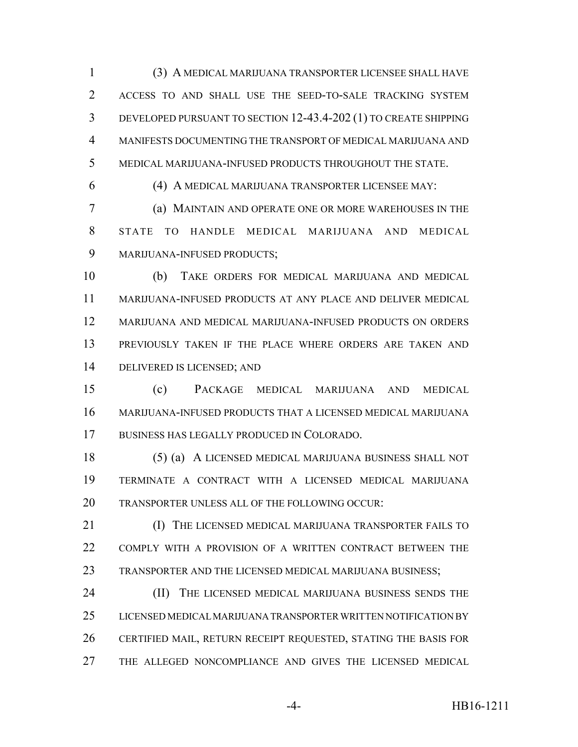(3) A MEDICAL MARIJUANA TRANSPORTER LICENSEE SHALL HAVE ACCESS TO AND SHALL USE THE SEED-TO-SALE TRACKING SYSTEM DEVELOPED PURSUANT TO SECTION 12-43.4-202 (1) TO CREATE SHIPPING MANIFESTS DOCUMENTING THE TRANSPORT OF MEDICAL MARIJUANA AND MEDICAL MARIJUANA-INFUSED PRODUCTS THROUGHOUT THE STATE.

(4) A MEDICAL MARIJUANA TRANSPORTER LICENSEE MAY:

 (a) MAINTAIN AND OPERATE ONE OR MORE WAREHOUSES IN THE STATE TO HANDLE MEDICAL MARIJUANA AND MEDICAL MARIJUANA-INFUSED PRODUCTS;

 (b) TAKE ORDERS FOR MEDICAL MARIJUANA AND MEDICAL MARIJUANA-INFUSED PRODUCTS AT ANY PLACE AND DELIVER MEDICAL MARIJUANA AND MEDICAL MARIJUANA-INFUSED PRODUCTS ON ORDERS PREVIOUSLY TAKEN IF THE PLACE WHERE ORDERS ARE TAKEN AND DELIVERED IS LICENSED; AND

 (c) PACKAGE MEDICAL MARIJUANA AND MEDICAL MARIJUANA-INFUSED PRODUCTS THAT A LICENSED MEDICAL MARIJUANA BUSINESS HAS LEGALLY PRODUCED IN COLORADO.

 (5) (a) A LICENSED MEDICAL MARIJUANA BUSINESS SHALL NOT TERMINATE A CONTRACT WITH A LICENSED MEDICAL MARIJUANA TRANSPORTER UNLESS ALL OF THE FOLLOWING OCCUR:

 (I) THE LICENSED MEDICAL MARIJUANA TRANSPORTER FAILS TO COMPLY WITH A PROVISION OF A WRITTEN CONTRACT BETWEEN THE TRANSPORTER AND THE LICENSED MEDICAL MARIJUANA BUSINESS;

 (II) THE LICENSED MEDICAL MARIJUANA BUSINESS SENDS THE LICENSED MEDICAL MARIJUANA TRANSPORTER WRITTEN NOTIFICATION BY CERTIFIED MAIL, RETURN RECEIPT REQUESTED, STATING THE BASIS FOR THE ALLEGED NONCOMPLIANCE AND GIVES THE LICENSED MEDICAL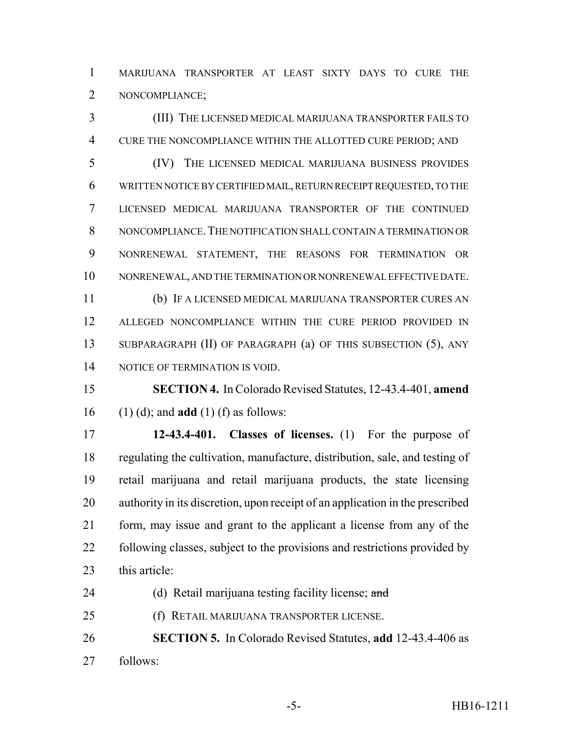MARIJUANA TRANSPORTER AT LEAST SIXTY DAYS TO CURE THE NONCOMPLIANCE;

 (III) THE LICENSED MEDICAL MARIJUANA TRANSPORTER FAILS TO CURE THE NONCOMPLIANCE WITHIN THE ALLOTTED CURE PERIOD; AND

 (IV) THE LICENSED MEDICAL MARIJUANA BUSINESS PROVIDES WRITTEN NOTICE BY CERTIFIED MAIL, RETURN RECEIPT REQUESTED, TO THE LICENSED MEDICAL MARIJUANA TRANSPORTER OF THE CONTINUED NONCOMPLIANCE.THE NOTIFICATION SHALL CONTAIN A TERMINATION OR NONRENEWAL STATEMENT, THE REASONS FOR TERMINATION OR NONRENEWAL, AND THE TERMINATION OR NONRENEWAL EFFECTIVE DATE.

 (b) IF A LICENSED MEDICAL MARIJUANA TRANSPORTER CURES AN ALLEGED NONCOMPLIANCE WITHIN THE CURE PERIOD PROVIDED IN SUBPARAGRAPH (II) OF PARAGRAPH (a) OF THIS SUBSECTION (5), ANY 14 NOTICE OF TERMINATION IS VOID.

 **SECTION 4.** In Colorado Revised Statutes, 12-43.4-401, **amend** (1) (d); and **add** (1) (f) as follows:

 **12-43.4-401. Classes of licenses.** (1) For the purpose of regulating the cultivation, manufacture, distribution, sale, and testing of retail marijuana and retail marijuana products, the state licensing authority in its discretion, upon receipt of an application in the prescribed form, may issue and grant to the applicant a license from any of the following classes, subject to the provisions and restrictions provided by this article:

24 (d) Retail marijuana testing facility license; and

(f) RETAIL MARIJUANA TRANSPORTER LICENSE.

 **SECTION 5.** In Colorado Revised Statutes, **add** 12-43.4-406 as follows: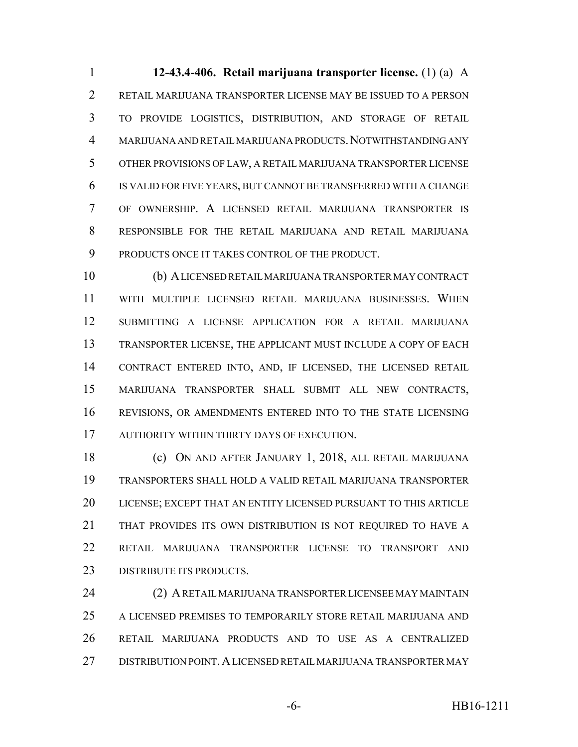**12-43.4-406. Retail marijuana transporter license.** (1) (a) A RETAIL MARIJUANA TRANSPORTER LICENSE MAY BE ISSUED TO A PERSON TO PROVIDE LOGISTICS, DISTRIBUTION, AND STORAGE OF RETAIL MARIJUANA AND RETAIL MARIJUANA PRODUCTS.NOTWITHSTANDING ANY OTHER PROVISIONS OF LAW, A RETAIL MARIJUANA TRANSPORTER LICENSE IS VALID FOR FIVE YEARS, BUT CANNOT BE TRANSFERRED WITH A CHANGE OF OWNERSHIP. A LICENSED RETAIL MARIJUANA TRANSPORTER IS RESPONSIBLE FOR THE RETAIL MARIJUANA AND RETAIL MARIJUANA PRODUCTS ONCE IT TAKES CONTROL OF THE PRODUCT.

 (b) A LICENSED RETAIL MARIJUANA TRANSPORTER MAY CONTRACT WITH MULTIPLE LICENSED RETAIL MARIJUANA BUSINESSES. WHEN SUBMITTING A LICENSE APPLICATION FOR A RETAIL MARIJUANA TRANSPORTER LICENSE, THE APPLICANT MUST INCLUDE A COPY OF EACH CONTRACT ENTERED INTO, AND, IF LICENSED, THE LICENSED RETAIL MARIJUANA TRANSPORTER SHALL SUBMIT ALL NEW CONTRACTS, REVISIONS, OR AMENDMENTS ENTERED INTO TO THE STATE LICENSING AUTHORITY WITHIN THIRTY DAYS OF EXECUTION.

 (c) ON AND AFTER JANUARY 1, 2018, ALL RETAIL MARIJUANA TRANSPORTERS SHALL HOLD A VALID RETAIL MARIJUANA TRANSPORTER LICENSE; EXCEPT THAT AN ENTITY LICENSED PURSUANT TO THIS ARTICLE THAT PROVIDES ITS OWN DISTRIBUTION IS NOT REQUIRED TO HAVE A RETAIL MARIJUANA TRANSPORTER LICENSE TO TRANSPORT AND 23 DISTRIBUTE ITS PRODUCTS.

 (2) A RETAIL MARIJUANA TRANSPORTER LICENSEE MAY MAINTAIN A LICENSED PREMISES TO TEMPORARILY STORE RETAIL MARIJUANA AND RETAIL MARIJUANA PRODUCTS AND TO USE AS A CENTRALIZED DISTRIBUTION POINT.A LICENSED RETAIL MARIJUANA TRANSPORTER MAY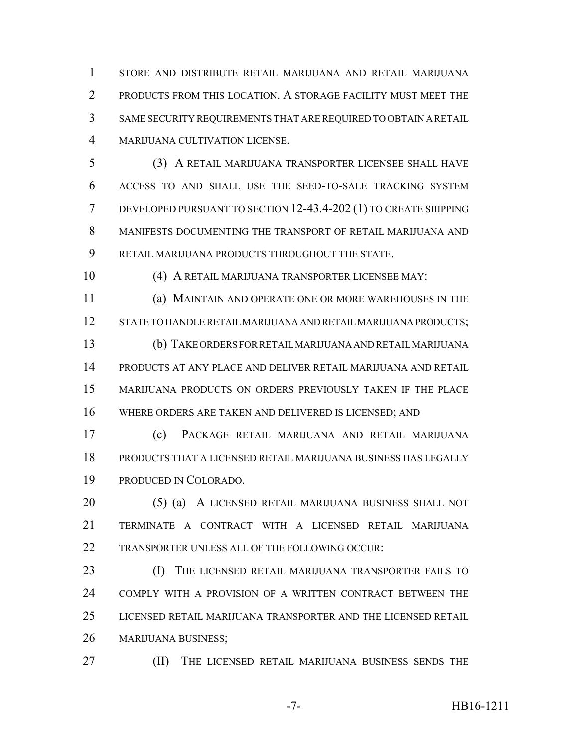STORE AND DISTRIBUTE RETAIL MARIJUANA AND RETAIL MARIJUANA PRODUCTS FROM THIS LOCATION. A STORAGE FACILITY MUST MEET THE SAME SECURITY REQUIREMENTS THAT ARE REQUIRED TO OBTAIN A RETAIL MARIJUANA CULTIVATION LICENSE.

 (3) A RETAIL MARIJUANA TRANSPORTER LICENSEE SHALL HAVE ACCESS TO AND SHALL USE THE SEED-TO-SALE TRACKING SYSTEM DEVELOPED PURSUANT TO SECTION 12-43.4-202 (1) TO CREATE SHIPPING MANIFESTS DOCUMENTING THE TRANSPORT OF RETAIL MARIJUANA AND RETAIL MARIJUANA PRODUCTS THROUGHOUT THE STATE.

(4) A RETAIL MARIJUANA TRANSPORTER LICENSEE MAY:

 (a) MAINTAIN AND OPERATE ONE OR MORE WAREHOUSES IN THE STATE TO HANDLE RETAIL MARIJUANA AND RETAIL MARIJUANA PRODUCTS; (b) TAKE ORDERS FOR RETAIL MARIJUANA AND RETAIL MARIJUANA PRODUCTS AT ANY PLACE AND DELIVER RETAIL MARIJUANA AND RETAIL

 MARIJUANA PRODUCTS ON ORDERS PREVIOUSLY TAKEN IF THE PLACE WHERE ORDERS ARE TAKEN AND DELIVERED IS LICENSED; AND

 (c) PACKAGE RETAIL MARIJUANA AND RETAIL MARIJUANA PRODUCTS THAT A LICENSED RETAIL MARIJUANA BUSINESS HAS LEGALLY PRODUCED IN COLORADO.

 (5) (a) A LICENSED RETAIL MARIJUANA BUSINESS SHALL NOT TERMINATE A CONTRACT WITH A LICENSED RETAIL MARIJUANA TRANSPORTER UNLESS ALL OF THE FOLLOWING OCCUR:

 (I) THE LICENSED RETAIL MARIJUANA TRANSPORTER FAILS TO COMPLY WITH A PROVISION OF A WRITTEN CONTRACT BETWEEN THE LICENSED RETAIL MARIJUANA TRANSPORTER AND THE LICENSED RETAIL MARIJUANA BUSINESS;

(II) THE LICENSED RETAIL MARIJUANA BUSINESS SENDS THE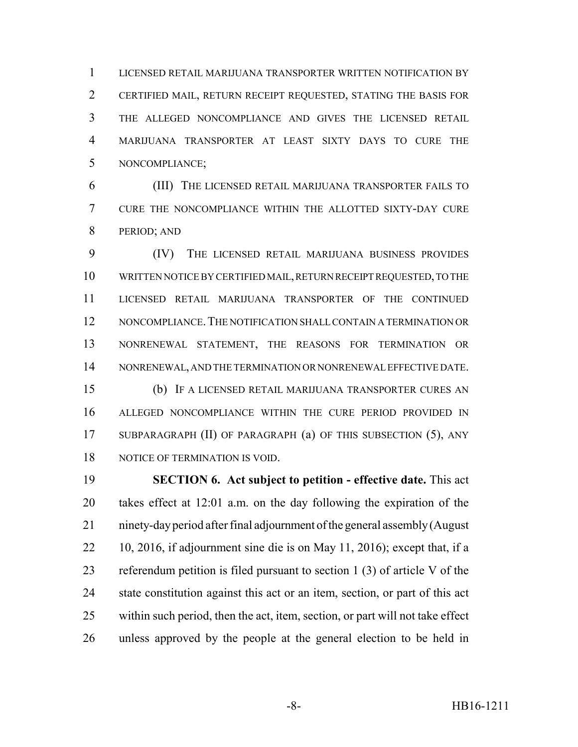LICENSED RETAIL MARIJUANA TRANSPORTER WRITTEN NOTIFICATION BY CERTIFIED MAIL, RETURN RECEIPT REQUESTED, STATING THE BASIS FOR THE ALLEGED NONCOMPLIANCE AND GIVES THE LICENSED RETAIL MARIJUANA TRANSPORTER AT LEAST SIXTY DAYS TO CURE THE NONCOMPLIANCE;

 (III) THE LICENSED RETAIL MARIJUANA TRANSPORTER FAILS TO CURE THE NONCOMPLIANCE WITHIN THE ALLOTTED SIXTY-DAY CURE PERIOD; AND

 (IV) THE LICENSED RETAIL MARIJUANA BUSINESS PROVIDES WRITTEN NOTICE BY CERTIFIED MAIL, RETURN RECEIPT REQUESTED, TO THE LICENSED RETAIL MARIJUANA TRANSPORTER OF THE CONTINUED NONCOMPLIANCE.THE NOTIFICATION SHALL CONTAIN A TERMINATION OR NONRENEWAL STATEMENT, THE REASONS FOR TERMINATION OR NONRENEWAL, AND THE TERMINATION OR NONRENEWAL EFFECTIVE DATE. (b) IF A LICENSED RETAIL MARIJUANA TRANSPORTER CURES AN ALLEGED NONCOMPLIANCE WITHIN THE CURE PERIOD PROVIDED IN SUBPARAGRAPH (II) OF PARAGRAPH (a) OF THIS SUBSECTION (5), ANY

NOTICE OF TERMINATION IS VOID.

 **SECTION 6. Act subject to petition - effective date.** This act takes effect at 12:01 a.m. on the day following the expiration of the ninety-day period after final adjournment of the general assembly (August 10, 2016, if adjournment sine die is on May 11, 2016); except that, if a referendum petition is filed pursuant to section 1 (3) of article V of the state constitution against this act or an item, section, or part of this act within such period, then the act, item, section, or part will not take effect unless approved by the people at the general election to be held in